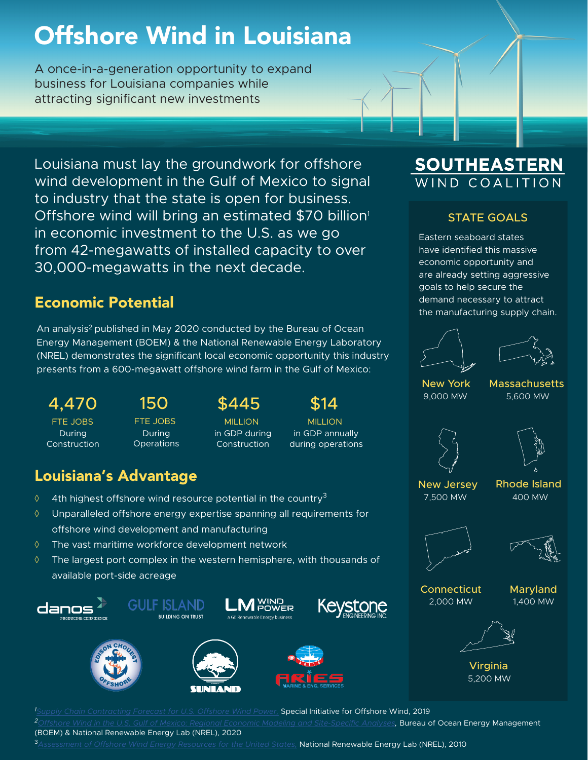# Offshore Wind in Louisiana

A once-in-a-generation opportunity to expand business for Louisiana companies while attracting significant new investments

Louisiana must lay the groundwork for offshore wind development in the Gulf of Mexico to signal to industry that the state is open for business. Offshore wind will bring an estimated \$70 billion<sup>1</sup> in economic investment to the U.S. as we go from 42-megawatts of installed capacity to over 30,000-megawatts in the next decade.

# Economic Potential

An analysis2 published in May 2020 conducted by the Bureau of Ocean Energy Management (BOEM) & the National Renewable Energy Laboratory (NREL) demonstrates the significant local economic opportunity this industry presents from a 600-megawatt offshore wind farm in the Gulf of Mexico:

During Construction

During **Operations** 

# 4,470 150 \$445 \$14

in GDP during Construction

FTE JOBS FTE JOBS MILLION MILLION in GDP annually during operations

# Louisiana's Advantage

- $\Diamond$  4th highest offshore wind resource potential in the country<sup>3</sup>
- ◊ Unparalleled offshore energy expertise spanning all requirements for offshore wind development and manufacturing
- ◊ The vast maritime workforce development network
- ◊ The largest port complex in the western hemisphere, with thousands of available port-side acreage















**SOUTHEASTERN**<br>WIND COALITION

### STATE GOALS

Eastern seaboard states have identified this massive economic opportunity and are already setting aggressive goals to help secure the demand necessary to attract the manufacturing supply chain.





New York Massachusetts 9,000 MW 5,600 MW



New Jersey 7,500 MW

Rhode Island 400 MW





Connecticut 2,000 MW





Virginia 5,200 MW

*1 [Supply Chain Contracting Forecast for U.S. Offshore Wind Power,](https://cpb-us-w2.wpmucdn.com/sites.udel.edu/dist/e/10028/files/2020/01/SIOW-White-Paper-Supply-Chain-Contracting-Forecast-for-US-Offshore-Wind-Power-FINAL.pdf)* Special Initiative for Offshore Wind, 2019 *2[Offshore Wind in the U.S. Gulf of Mexico: Regional Economic Modeling and Site-Specific Analyses,](https://espis.boem.gov/final%20reports/BOEM_2020-018.pdf)* Bureau of Ocean Energy Management (BOEM) & National Renewable Energy Lab (NREL), 2020 <sup>3</sup>*[Assessment of Offshore Wind Energy Resources for the United States,](https://www.nrel.gov/docs/fy10osti/45889.pdf)* National Renewable Energy Lab (NREL), 2010